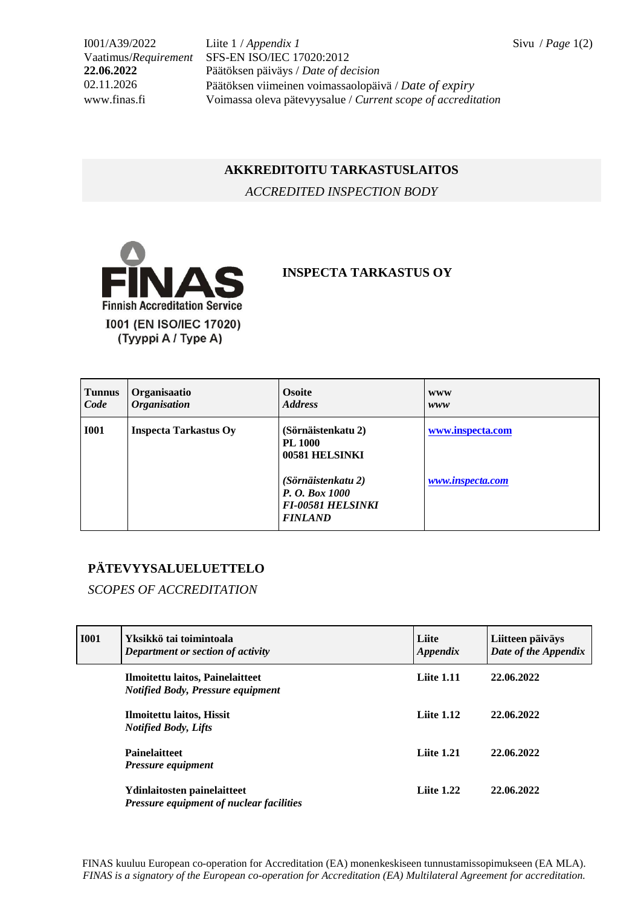I001/A39/2022 Liite 1 / *Appendix 1* Sivu / *Page* 1(2) Vaatimus/*Requirement* SFS-EN ISO/IEC 17020:2012 **22.06.2022** Päätöksen päiväys / *Date of decision* 02.11.2026 Päätöksen viimeinen voimassaolopäivä / *Date of expiry* www.finas.fi Voimassa oleva pätevyysalue / *Current scope of accreditation*

## **AKKREDITOITU TARKASTUSLAITOS**

*ACCREDITED INSPECTION BODY*



## **INSPECTA TARKASTUS OY**

| <b>Tunnus</b> | Organisaatio                 | <b>Osoite</b>                                                                                                                                | <b>WWW</b>                           |
|---------------|------------------------------|----------------------------------------------------------------------------------------------------------------------------------------------|--------------------------------------|
| Code          | <b>Organisation</b>          | <b>Address</b>                                                                                                                               | www                                  |
| <b>I001</b>   | <b>Inspecta Tarkastus Oy</b> | (Sörnäistenkatu 2)<br><b>PL 1000</b><br>00581 HELSINKI<br>(Sörnäistenkatu 2)<br>P. O. Box 1000<br><b>FI-00581 HELSINKI</b><br><b>FINLAND</b> | www.inspecta.com<br>www.inspecta.com |

## **PÄTEVYYSALUELUETTELO**

*SCOPES OF ACCREDITATION*

| <b>I001</b> | Yksikkö tai toimintoala<br>Department or section of activity                   | Liite<br>Appendix | Liitteen päiväys<br>Date of the Appendix |
|-------------|--------------------------------------------------------------------------------|-------------------|------------------------------------------|
|             | Ilmoitettu laitos, Painelaitteet<br><b>Notified Body, Pressure equipment</b>   | <b>Liite 1.11</b> | 22,06,2022                               |
|             | Ilmoitettu laitos, Hissit<br><b>Notified Body, Lifts</b>                       | Liite $1.12$      | 22.06.2022                               |
|             | <b>Painelaitteet</b><br><b>Pressure equipment</b>                              | <b>Liite 1.21</b> | 22.06.2022                               |
|             | Ydinlaitosten painelaitteet<br><b>Pressure equipment of nuclear facilities</b> | Liite $1.22$      | 22.06.2022                               |